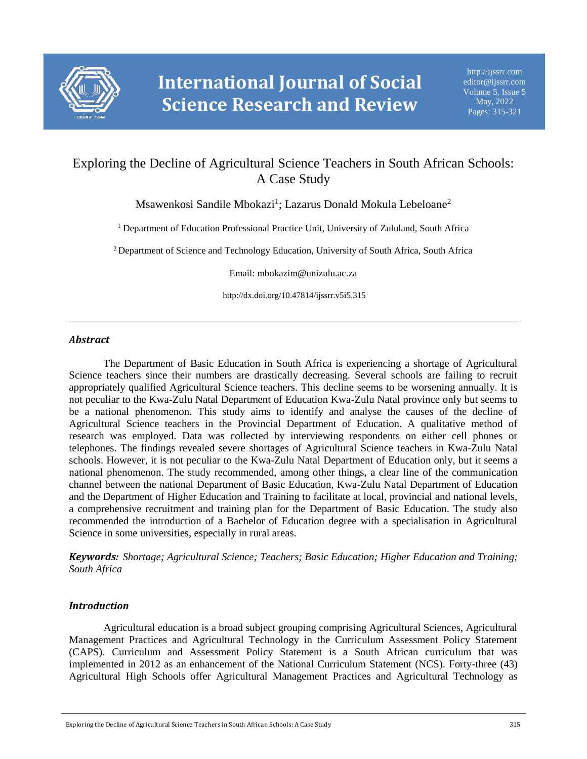

# Exploring the Decline of Agricultural Science Teachers in South African Schools: A Case Study

Msawenkosi Sandile Mbokazi<sup>1</sup>; Lazarus Donald Mokula Lebeloane<sup>2</sup>

<sup>1</sup> Department of Education Professional Practice Unit, University of Zululand, South Africa

<sup>2</sup> Department of Science and Technology Education, University of South Africa, South Africa

Email: mbokazim@unizulu.ac.za

http://dx.doi.org/10.47814/ijssrr.v5i5.315

# *Abstract*

The Department of Basic Education in South Africa is experiencing a shortage of Agricultural Science teachers since their numbers are drastically decreasing. Several schools are failing to recruit appropriately qualified Agricultural Science teachers. This decline seems to be worsening annually. It is not peculiar to the Kwa-Zulu Natal Department of Education Kwa-Zulu Natal province only but seems to be a national phenomenon. This study aims to identify and analyse the causes of the decline of Agricultural Science teachers in the Provincial Department of Education. A qualitative method of research was employed. Data was collected by interviewing respondents on either cell phones or telephones. The findings revealed severe shortages of Agricultural Science teachers in Kwa-Zulu Natal schools. However, it is not peculiar to the Kwa-Zulu Natal Department of Education only, but it seems a national phenomenon. The study recommended, among other things, a clear line of the communication channel between the national Department of Basic Education, Kwa-Zulu Natal Department of Education and the Department of Higher Education and Training to facilitate at local, provincial and national levels, a comprehensive recruitment and training plan for the Department of Basic Education. The study also recommended the introduction of a Bachelor of Education degree with a specialisation in Agricultural Science in some universities, especially in rural areas.

*Keywords: Shortage; Agricultural Science; Teachers; Basic Education; Higher Education and Training; South Africa*

# *Introduction*

Agricultural education is a broad subject grouping comprising Agricultural Sciences, Agricultural Management Practices and Agricultural Technology in the Curriculum Assessment Policy Statement (CAPS). Curriculum and Assessment Policy Statement is a South African curriculum that was implemented in 2012 as an enhancement of the National Curriculum Statement (NCS). Forty-three (43) Agricultural High Schools offer Agricultural Management Practices and Agricultural Technology as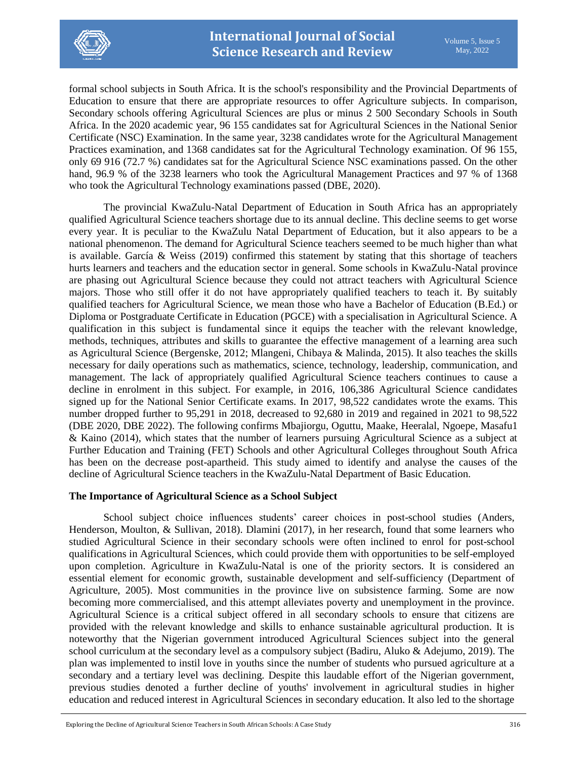

formal school subjects in South Africa. It is the school's responsibility and the Provincial Departments of Education to ensure that there are appropriate resources to offer Agriculture subjects. In comparison, Secondary schools offering Agricultural Sciences are plus or minus 2 500 Secondary Schools in South Africa. In the 2020 academic year, 96 155 candidates sat for Agricultural Sciences in the National Senior Certificate (NSC) Examination. In the same year, 3238 candidates wrote for the Agricultural Management Practices examination, and 1368 candidates sat for the Agricultural Technology examination. Of 96 155, only 69 916 (72.7 %) candidates sat for the Agricultural Science NSC examinations passed. On the other hand, 96.9 % of the 3238 learners who took the Agricultural Management Practices and 97 % of 1368 who took the Agricultural Technology examinations passed (DBE, 2020).

The provincial KwaZulu-Natal Department of Education in South Africa has an appropriately qualified Agricultural Science teachers shortage due to its annual decline. This decline seems to get worse every year. It is peculiar to the KwaZulu Natal Department of Education, but it also appears to be a national phenomenon. The demand for Agricultural Science teachers seemed to be much higher than what is available. García & Weiss (2019) confirmed this statement by stating that this shortage of teachers hurts learners and teachers and the education sector in general. Some schools in KwaZulu-Natal province are phasing out Agricultural Science because they could not attract teachers with Agricultural Science majors. Those who still offer it do not have appropriately qualified teachers to teach it. By suitably qualified teachers for Agricultural Science, we mean those who have a Bachelor of Education (B.Ed.) or Diploma or Postgraduate Certificate in Education (PGCE) with a specialisation in Agricultural Science. A qualification in this subject is fundamental since it equips the teacher with the relevant knowledge, methods, techniques, attributes and skills to guarantee the effective management of a learning area such as Agricultural Science (Bergenske, 2012; Mlangeni, Chibaya & Malinda, 2015). It also teaches the skills necessary for daily operations such as mathematics, science, technology, leadership, communication, and management. The lack of appropriately qualified Agricultural Science teachers continues to cause a decline in enrolment in this subject. For example, in 2016, 106,386 Agricultural Science candidates signed up for the National Senior Certificate exams. In 2017, 98,522 candidates wrote the exams. This number dropped further to 95,291 in 2018, decreased to 92,680 in 2019 and regained in 2021 to 98,522 (DBE 2020, DBE 2022). The following confirms Mbajiorgu, Oguttu, Maake, Heeralal, Ngoepe, Masafu1 & Kaino (2014), which states that the number of learners pursuing Agricultural Science as a subject at Further Education and Training (FET) Schools and other Agricultural Colleges throughout South Africa has been on the decrease post-apartheid. This study aimed to identify and analyse the causes of the decline of Agricultural Science teachers in the KwaZulu-Natal Department of Basic Education.

# **The Importance of Agricultural Science as a School Subject**

School subject choice influences students' career choices in post-school studies (Anders, Henderson, Moulton, & Sullivan, 2018). Dlamini (2017), in her research, found that some learners who studied Agricultural Science in their secondary schools were often inclined to enrol for post-school qualifications in Agricultural Sciences, which could provide them with opportunities to be self-employed upon completion. Agriculture in KwaZulu-Natal is one of the priority sectors. It is considered an essential element for economic growth, sustainable development and self-sufficiency (Department of Agriculture, 2005). Most communities in the province live on subsistence farming. Some are now becoming more commercialised, and this attempt alleviates poverty and unemployment in the province. Agricultural Science is a critical subject offered in all secondary schools to ensure that citizens are provided with the relevant knowledge and skills to enhance sustainable agricultural production. It is noteworthy that the Nigerian government introduced Agricultural Sciences subject into the general school curriculum at the secondary level as a compulsory subject (Badiru, Aluko & Adejumo, 2019). The plan was implemented to instil love in youths since the number of students who pursued agriculture at a secondary and a tertiary level was declining. Despite this laudable effort of the Nigerian government, previous studies denoted a further decline of youths' involvement in agricultural studies in higher education and reduced interest in Agricultural Sciences in secondary education. It also led to the shortage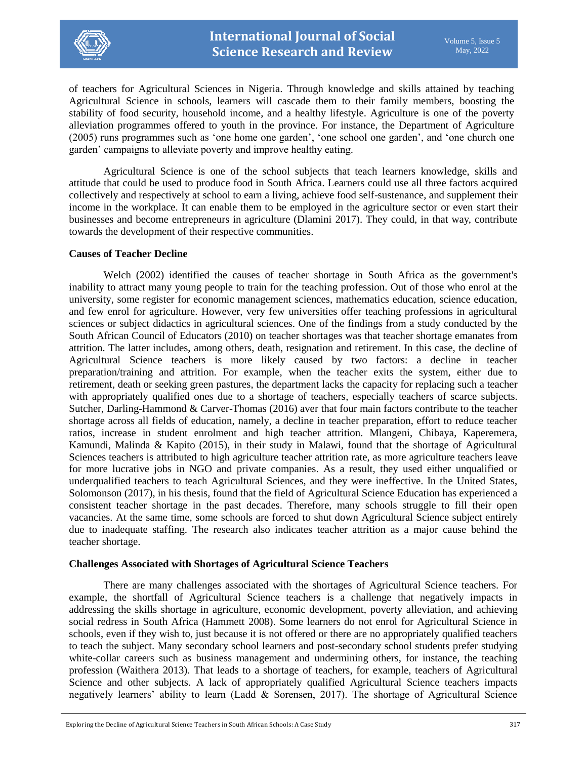

of teachers for Agricultural Sciences in Nigeria. Through knowledge and skills attained by teaching Agricultural Science in schools, learners will cascade them to their family members, boosting the stability of food security, household income, and a healthy lifestyle. Agriculture is one of the poverty alleviation programmes offered to youth in the province. For instance, the Department of Agriculture (2005) runs programmes such as 'one home one garden', 'one school one garden', and 'one church one garden' campaigns to alleviate poverty and improve healthy eating.

Agricultural Science is one of the school subjects that teach learners knowledge, skills and attitude that could be used to produce food in South Africa. Learners could use all three factors acquired collectively and respectively at school to earn a living, achieve food self-sustenance, and supplement their income in the workplace. It can enable them to be employed in the agriculture sector or even start their businesses and become entrepreneurs in agriculture (Dlamini 2017). They could, in that way, contribute towards the development of their respective communities.

#### **Causes of Teacher Decline**

Welch (2002) identified the causes of teacher shortage in South Africa as the government's inability to attract many young people to train for the teaching profession. Out of those who enrol at the university, some register for economic management sciences, mathematics education, science education, and few enrol for agriculture. However, very few universities offer teaching professions in agricultural sciences or subject didactics in agricultural sciences. One of the findings from a study conducted by the South African Council of Educators (2010) on teacher shortages was that teacher shortage emanates from attrition. The latter includes, among others, death, resignation and retirement. In this case, the decline of Agricultural Science teachers is more likely caused by two factors: a decline in teacher preparation/training and attrition. For example, when the teacher exits the system, either due to retirement, death or seeking green pastures, the department lacks the capacity for replacing such a teacher with appropriately qualified ones due to a shortage of teachers, especially teachers of scarce subjects. Sutcher, Darling-Hammond & Carver-Thomas (2016) aver that four main factors contribute to the teacher shortage across all fields of education, namely, a decline in teacher preparation, effort to reduce teacher ratios, increase in student enrolment and high teacher attrition. Mlangeni, Chibaya, Kaperemera, Kamundi, Malinda & Kapito (2015), in their study in Malawi, found that the shortage of Agricultural Sciences teachers is attributed to high agriculture teacher attrition rate, as more agriculture teachers leave for more lucrative jobs in NGO and private companies. As a result, they used either unqualified or underqualified teachers to teach Agricultural Sciences, and they were ineffective. In the United States, Solomonson (2017), in his thesis, found that the field of Agricultural Science Education has experienced a consistent teacher shortage in the past decades. Therefore, many schools struggle to fill their open vacancies. At the same time, some schools are forced to shut down Agricultural Science subject entirely due to inadequate staffing. The research also indicates teacher attrition as a major cause behind the teacher shortage.

#### **Challenges Associated with Shortages of Agricultural Science Teachers**

There are many challenges associated with the shortages of Agricultural Science teachers. For example, the shortfall of Agricultural Science teachers is a challenge that negatively impacts in addressing the skills shortage in agriculture, economic development, poverty alleviation, and achieving social redress in South Africa (Hammett 2008). Some learners do not enrol for Agricultural Science in schools, even if they wish to, just because it is not offered or there are no appropriately qualified teachers to teach the subject. Many secondary school learners and post-secondary school students prefer studying white-collar careers such as business management and undermining others, for instance, the teaching profession (Waithera 2013). That leads to a shortage of teachers, for example, teachers of Agricultural Science and other subjects. A lack of appropriately qualified Agricultural Science teachers impacts negatively learners' ability to learn (Ladd & Sorensen, 2017). The shortage of Agricultural Science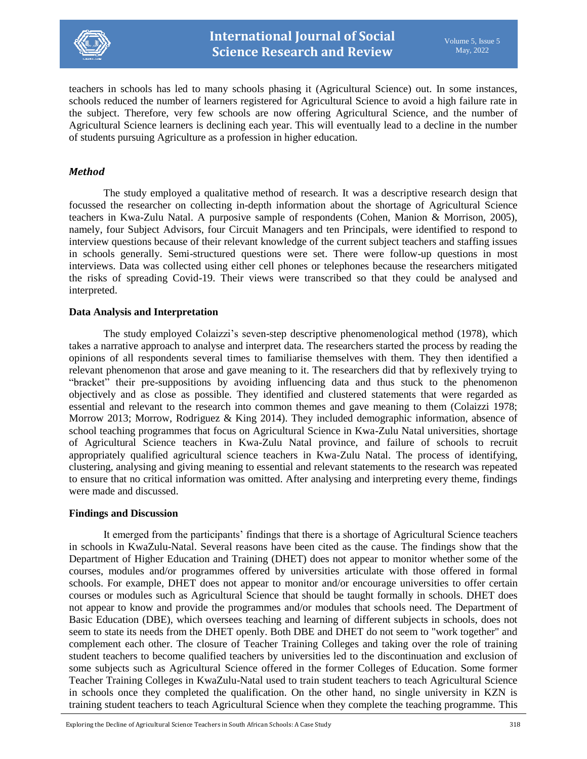

teachers in schools has led to many schools phasing it (Agricultural Science) out. In some instances, schools reduced the number of learners registered for Agricultural Science to avoid a high failure rate in the subject. Therefore, very few schools are now offering Agricultural Science, and the number of Agricultural Science learners is declining each year. This will eventually lead to a decline in the number of students pursuing Agriculture as a profession in higher education.

# *Method*

The study employed a qualitative method of research. It was a descriptive research design that focussed the researcher on collecting in-depth information about the shortage of Agricultural Science teachers in Kwa-Zulu Natal. A purposive sample of respondents (Cohen, Manion & Morrison, 2005), namely, four Subject Advisors, four Circuit Managers and ten Principals, were identified to respond to interview questions because of their relevant knowledge of the current subject teachers and staffing issues in schools generally. Semi-structured questions were set. There were follow-up questions in most interviews. Data was collected using either cell phones or telephones because the researchers mitigated the risks of spreading Covid-19. Their views were transcribed so that they could be analysed and interpreted.

### **Data Analysis and Interpretation**

The study employed Colaizzi's seven-step descriptive phenomenological method (1978), which takes a narrative approach to analyse and interpret data. The researchers started the process by reading the opinions of all respondents several times to familiarise themselves with them. They then identified a relevant phenomenon that arose and gave meaning to it. The researchers did that by reflexively trying to "bracket" their pre-suppositions by avoiding influencing data and thus stuck to the phenomenon objectively and as close as possible. They identified and clustered statements that were regarded as essential and relevant to the research into common themes and gave meaning to them (Colaizzi 1978; Morrow 2013; Morrow, Rodriguez & King 2014). They included demographic information, absence of school teaching programmes that focus on Agricultural Science in Kwa-Zulu Natal universities, shortage of Agricultural Science teachers in Kwa-Zulu Natal province, and failure of schools to recruit appropriately qualified agricultural science teachers in Kwa-Zulu Natal. The process of identifying, clustering, analysing and giving meaning to essential and relevant statements to the research was repeated to ensure that no critical information was omitted. After analysing and interpreting every theme, findings were made and discussed.

#### **Findings and Discussion**

It emerged from the participants' findings that there is a shortage of Agricultural Science teachers in schools in KwaZulu-Natal. Several reasons have been cited as the cause. The findings show that the Department of Higher Education and Training (DHET) does not appear to monitor whether some of the courses, modules and/or programmes offered by universities articulate with those offered in formal schools. For example, DHET does not appear to monitor and/or encourage universities to offer certain courses or modules such as Agricultural Science that should be taught formally in schools. DHET does not appear to know and provide the programmes and/or modules that schools need. The Department of Basic Education (DBE), which oversees teaching and learning of different subjects in schools, does not seem to state its needs from the DHET openly. Both DBE and DHET do not seem to "work together" and complement each other. The closure of Teacher Training Colleges and taking over the role of training student teachers to become qualified teachers by universities led to the discontinuation and exclusion of some subjects such as Agricultural Science offered in the former Colleges of Education. Some former Teacher Training Colleges in KwaZulu-Natal used to train student teachers to teach Agricultural Science in schools once they completed the qualification. On the other hand, no single university in KZN is training student teachers to teach Agricultural Science when they complete the teaching programme. This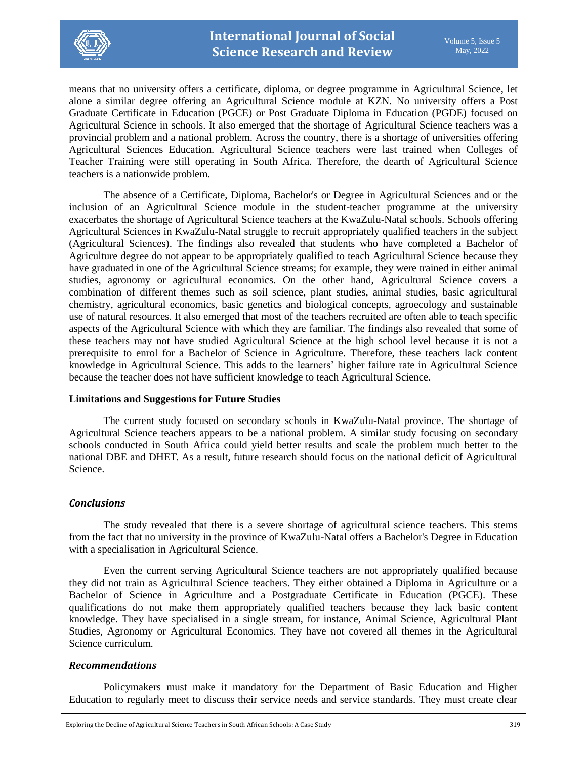

means that no university offers a certificate, diploma, or degree programme in Agricultural Science, let alone a similar degree offering an Agricultural Science module at KZN. No university offers a Post Graduate Certificate in Education (PGCE) or Post Graduate Diploma in Education (PGDE) focused on Agricultural Science in schools. It also emerged that the shortage of Agricultural Science teachers was a provincial problem and a national problem. Across the country, there is a shortage of universities offering Agricultural Sciences Education. Agricultural Science teachers were last trained when Colleges of Teacher Training were still operating in South Africa. Therefore, the dearth of Agricultural Science teachers is a nationwide problem.

The absence of a Certificate, Diploma, Bachelor's or Degree in Agricultural Sciences and or the inclusion of an Agricultural Science module in the student-teacher programme at the university exacerbates the shortage of Agricultural Science teachers at the KwaZulu-Natal schools. Schools offering Agricultural Sciences in KwaZulu-Natal struggle to recruit appropriately qualified teachers in the subject (Agricultural Sciences). The findings also revealed that students who have completed a Bachelor of Agriculture degree do not appear to be appropriately qualified to teach Agricultural Science because they have graduated in one of the Agricultural Science streams; for example, they were trained in either animal studies, agronomy or agricultural economics. On the other hand, Agricultural Science covers a combination of different themes such as soil science, plant studies, animal studies, basic agricultural chemistry, agricultural economics, basic genetics and biological concepts, agroecology and sustainable use of natural resources. It also emerged that most of the teachers recruited are often able to teach specific aspects of the Agricultural Science with which they are familiar. The findings also revealed that some of these teachers may not have studied Agricultural Science at the high school level because it is not a prerequisite to enrol for a Bachelor of Science in Agriculture. Therefore, these teachers lack content knowledge in Agricultural Science. This adds to the learners' higher failure rate in Agricultural Science because the teacher does not have sufficient knowledge to teach Agricultural Science.

#### **Limitations and Suggestions for Future Studies**

The current study focused on secondary schools in KwaZulu-Natal province. The shortage of Agricultural Science teachers appears to be a national problem. A similar study focusing on secondary schools conducted in South Africa could yield better results and scale the problem much better to the national DBE and DHET. As a result, future research should focus on the national deficit of Agricultural Science.

# *Conclusions*

The study revealed that there is a severe shortage of agricultural science teachers. This stems from the fact that no university in the province of KwaZulu-Natal offers a Bachelor's Degree in Education with a specialisation in Agricultural Science.

Even the current serving Agricultural Science teachers are not appropriately qualified because they did not train as Agricultural Science teachers. They either obtained a Diploma in Agriculture or a Bachelor of Science in Agriculture and a Postgraduate Certificate in Education (PGCE). These qualifications do not make them appropriately qualified teachers because they lack basic content knowledge. They have specialised in a single stream, for instance, Animal Science, Agricultural Plant Studies, Agronomy or Agricultural Economics. They have not covered all themes in the Agricultural Science curriculum.

# *Recommendations*

Policymakers must make it mandatory for the Department of Basic Education and Higher Education to regularly meet to discuss their service needs and service standards. They must create clear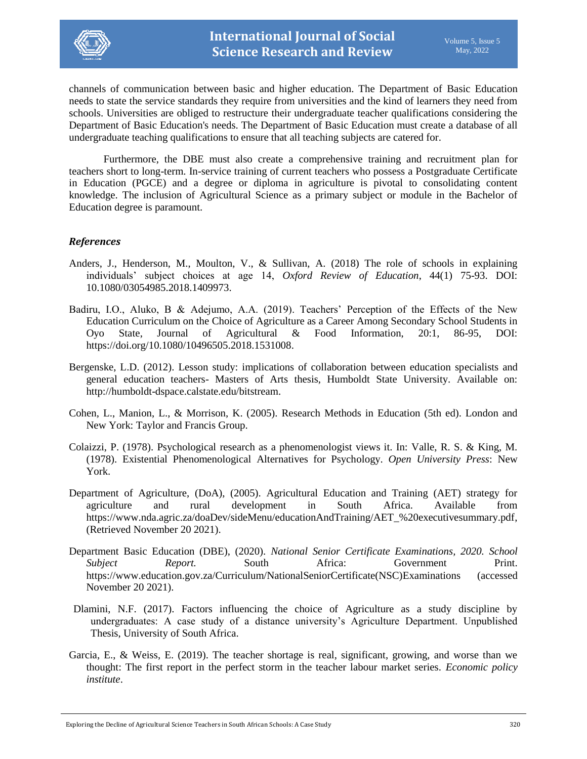

channels of communication between basic and higher education. The Department of Basic Education needs to state the service standards they require from universities and the kind of learners they need from schools. Universities are obliged to restructure their undergraduate teacher qualifications considering the Department of Basic Education's needs. The Department of Basic Education must create a database of all undergraduate teaching qualifications to ensure that all teaching subjects are catered for.

Furthermore, the DBE must also create a comprehensive training and recruitment plan for teachers short to long-term. In-service training of current teachers who possess a Postgraduate Certificate in Education (PGCE) and a degree or diploma in agriculture is pivotal to consolidating content knowledge. The inclusion of Agricultural Science as a primary subject or module in the Bachelor of Education degree is paramount.

#### *References*

- Anders, J., Henderson, M., Moulton, V., & Sullivan, A. (2018) The role of schools in explaining individuals' subject choices at age 14, *Oxford Review of Education*, 44(1) 75-93. DOI: 10.1080/03054985.2018.1409973.
- Badiru, I.O., Aluko, B & Adejumo, A.A. (2019). Teachers' Perception of the Effects of the New Education Curriculum on the Choice of Agriculture as a Career Among Secondary School Students in Oyo State, Journal of Agricultural & Food Information, 20:1, 86-95, DOI: [https://doi.org/10.1080/10496505.2018.1531008.](https://doi.org/10.1080/10496505.2018.1531008)
- Bergenske, L.D. (2012). Lesson study: implications of collaboration between education specialists and general education teachers- Masters of Arts thesis, Humboldt State University. Available on: [http://humboldt-dspace.calstate.edu/bitstream.](http://humboldt-dspace.calstate.edu/bitstream)
- Cohen, L., Manion, L., & Morrison, K. (2005). Research Methods in Education (5th ed). London and New York: Taylor and Francis Group.
- Colaizzi, P. (1978). Psychological research as a phenomenologist views it. In: Valle, R. S. & King, M. (1978). Existential Phenomenological Alternatives for Psychology. *Open University Press*: New York.
- Department of Agriculture, (DoA), (2005). Agricultural Education and Training (AET) strategy for agriculture and rural development in South Africa. Available from [https://www.nda.agric.za/doaDev/sideMenu/educationAndTraining/AET\\_%20executivesummary.pdf,](https://www.nda.agric.za/doaDev/sideMenu/educationAndTraining/AET_%20executivesummary.pdf) (Retrieved November 20 2021).
- Department Basic Education (DBE), (2020). *National Senior Certificate Examinations, 2020. School Subject Report.* South Africa: Government Print. [https://www.education.gov.za/Curriculum/NationalSeniorCertificate\(NSC\)Examinations](https://www.education.gov.za/Curriculum/NationalSeniorCertificate(NSC)Examinations.aspx) (accessed November 20 2021).
- Dlamini, N.F. (2017). Factors influencing the choice of Agriculture as a study discipline by undergraduates: A case study of a distance university's Agriculture Department. Unpublished Thesis, University of South Africa.
- Garcia, E., & Weiss, E. (2019). The teacher shortage is real, significant, growing, and worse than we thought: The first report in the perfect storm in the teacher labour market series. *Economic policy institute*.